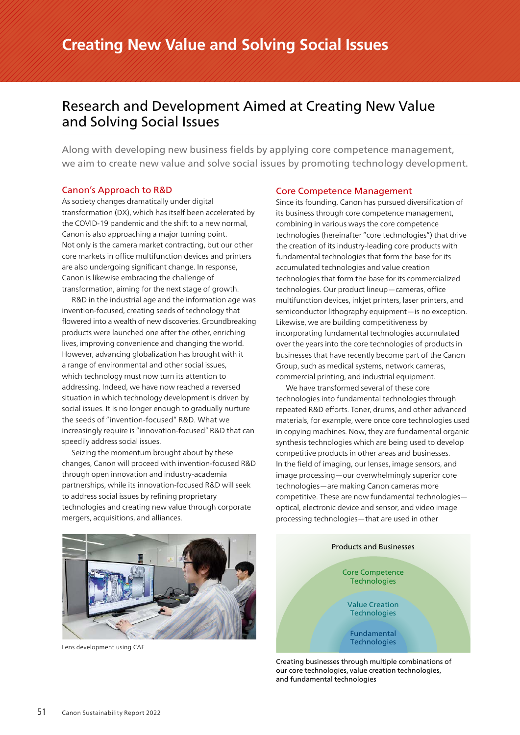# Research and Development Aimed at Creating New Value and Solving Social Issues

Along with developing new business fields by applying core competence management, we aim to create new value and solve social issues by promoting technology development.

# Canon's Approach to R&D

As society changes dramatically under digital transformation (DX), which has itself been accelerated by the COVID-19 pandemic and the shift to a new normal, Canon is also approaching a major turning point. Not only is the camera market contracting, but our other core markets in office multifunction devices and printers are also undergoing significant change. In response, Canon is likewise embracing the challenge of transformation, aiming for the next stage of growth.

R&D in the industrial age and the information age was invention-focused, creating seeds of technology that flowered into a wealth of new discoveries. Groundbreaking products were launched one after the other, enriching lives, improving convenience and changing the world. However, advancing globalization has brought with it a range of environmental and other social issues, which technology must now turn its attention to addressing. Indeed, we have now reached a reversed situation in which technology development is driven by social issues. It is no longer enough to gradually nurture the seeds of "invention-focused" R&D. What we increasingly require is "innovation-focused" R&D that can speedily address social issues.

Seizing the momentum brought about by these changes, Canon will proceed with invention-focused R&D through open innovation and industry-academia partnerships, while its innovation-focused R&D will seek to address social issues by refining proprietary technologies and creating new value through corporate mergers, acquisitions, and alliances.

# Core Competence Management

Since its founding, Canon has pursued diversification of its business through core competence management, combining in various ways the core competence technologies (hereinafter "core technologies") that drive the creation of its industry-leading core products with fundamental technologies that form the base for its accumulated technologies and value creation technologies that form the base for its commercialized technologies. Our product lineup—cameras, office multifunction devices, inkjet printers, laser printers, and semiconductor lithography equipment—is no exception. Likewise, we are building competitiveness by incorporating fundamental technologies accumulated over the years into the core technologies of products in businesses that have recently become part of the Canon Group, such as medical systems, network cameras, commercial printing, and industrial equipment.

We have transformed several of these core technologies into fundamental technologies through repeated R&D efforts. Toner, drums, and other advanced materials, for example, were once core technologies used in copying machines. Now, they are fundamental organic synthesis technologies which are being used to develop competitive products in other areas and businesses. In the field of imaging, our lenses, image sensors, and image processing—our overwhelmingly superior core technologies—are making Canon cameras more competitive. These are now fundamental technologies optical, electronic device and sensor, and video image processing technologies—that are used in other



Lens development using CAE



Creating businesses through multiple combinations of our core technologies, value creation technologies, and fundamental technologies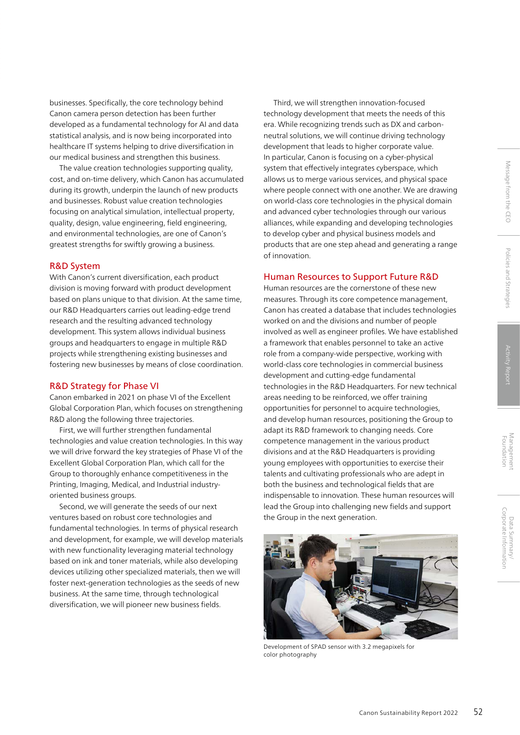businesses. Specifically, the core technology behind Canon camera person detection has been further developed as a fundamental technology for AI and data statistical analysis, and is now being incorporated into healthcare IT systems helping to drive diversification in our medical business and strengthen this business.

The value creation technologies supporting quality, cost, and on-time delivery, which Canon has accumulated during its growth, underpin the launch of new products and businesses. Robust value creation technologies focusing on analytical simulation, intellectual property, quality, design, value engineering, field engineering, and environmental technologies, are one of Canon's greatest strengths for swiftly growing a business.

### R&D System

With Canon's current diversification, each product division is moving forward with product development based on plans unique to that division. At the same time, our R&D Headquarters carries out leading-edge trend research and the resulting advanced technology development. This system allows individual business groups and headquarters to engage in multiple R&D projects while strengthening existing businesses and fostering new businesses by means of close coordination.

### R&D Strategy for Phase VI

Canon embarked in 2021 on phase VI of the Excellent Global Corporation Plan, which focuses on strengthening R&D along the following three trajectories.

First, we will further strengthen fundamental technologies and value creation technologies. In this way we will drive forward the key strategies of Phase VI of the Excellent Global Corporation Plan, which call for the Group to thoroughly enhance competitiveness in the Printing, Imaging, Medical, and Industrial industryoriented business groups.

Second, we will generate the seeds of our next ventures based on robust core technologies and fundamental technologies. In terms of physical research and development, for example, we will develop materials with new functionality leveraging material technology based on ink and toner materials, while also developing devices utilizing other specialized materials, then we will foster next-generation technologies as the seeds of new business. At the same time, through technological diversification, we will pioneer new business fields.

Third, we will strengthen innovation-focused technology development that meets the needs of this era. While recognizing trends such as DX and carbonneutral solutions, we will continue driving technology development that leads to higher corporate value. In particular, Canon is focusing on a cyber-physical system that effectively integrates cyberspace, which allows us to merge various services, and physical space where people connect with one another. We are drawing on world-class core technologies in the physical domain and advanced cyber technologies through our various alliances, while expanding and developing technologies to develop cyber and physical business models and products that are one step ahead and generating a range of innovation.

# Human Resources to Support Future R&D

Human resources are the cornerstone of these new measures. Through its core competence management, Canon has created a database that includes technologies worked on and the divisions and number of people involved as well as engineer profiles. We have established a framework that enables personnel to take an active role from a company-wide perspective, working with world-class core technologies in commercial business development and cutting-edge fundamental technologies in the R&D Headquarters. For new technical areas needing to be reinforced, we offer training opportunities for personnel to acquire technologies, and develop human resources, positioning the Group to adapt its R&D framework to changing needs. Core competence management in the various product divisions and at the R&D Headquarters is providing young employees with opportunities to exercise their talents and cultivating professionals who are adept in both the business and technological fields that are indispensable to innovation. These human resources will lead the Group into challenging new fields and support the Group in the next generation.



Development of SPAD sensor with 3.2 megapixels for color photography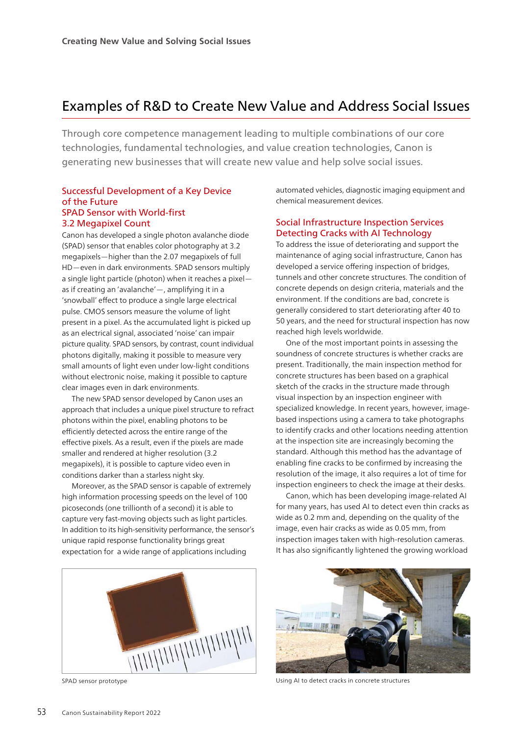# Examples of R&D to Create New Value and Address Social Issues

Through core competence management leading to multiple combinations of our core technologies, fundamental technologies, and value creation technologies, Canon is generating new businesses that will create new value and help solve social issues.

# Successful Development of a Key Device of the Future SPAD Sensor with World-first 3.2 Megapixel Count

Canon has developed a single photon avalanche diode (SPAD) sensor that enables color photography at 3.2 megapixels—higher than the 2.07 megapixels of full HD—even in dark environments. SPAD sensors multiply a single light particle (photon) when it reaches a pixel as if creating an 'avalanche'—, amplifying it in a 'snowball' effect to produce a single large electrical pulse. CMOS sensors measure the volume of light present in a pixel. As the accumulated light is picked up as an electrical signal, associated 'noise' can impair picture quality. SPAD sensors, by contrast, count individual photons digitally, making it possible to measure very small amounts of light even under low-light conditions without electronic noise, making it possible to capture clear images even in dark environments.

The new SPAD sensor developed by Canon uses an approach that includes a unique pixel structure to refract photons within the pixel, enabling photons to be efficiently detected across the entire range of the effective pixels. As a result, even if the pixels are made smaller and rendered at higher resolution (3.2 megapixels), it is possible to capture video even in conditions darker than a starless night sky.

Moreover, as the SPAD sensor is capable of extremely high information processing speeds on the level of 100 picoseconds (one trillionth of a second) it is able to capture very fast-moving objects such as light particles. In addition to its high-sensitivity performance, the sensor's unique rapid response functionality brings great expectation for a wide range of applications including



automated vehicles, diagnostic imaging equipment and chemical measurement devices.

# Social Infrastructure Inspection Services Detecting Cracks with AI Technology

To address the issue of deteriorating and support the maintenance of aging social infrastructure, Canon has developed a service offering inspection of bridges, tunnels and other concrete structures. The condition of concrete depends on design criteria, materials and the environment. If the conditions are bad, concrete is generally considered to start deteriorating after 40 to 50 years, and the need for structural inspection has now reached high levels worldwide.

One of the most important points in assessing the soundness of concrete structures is whether cracks are present. Traditionally, the main inspection method for concrete structures has been based on a graphical sketch of the cracks in the structure made through visual inspection by an inspection engineer with specialized knowledge. In recent years, however, imagebased inspections using a camera to take photographs to identify cracks and other locations needing attention at the inspection site are increasingly becoming the standard. Although this method has the advantage of enabling fine cracks to be confirmed by increasing the resolution of the image, it also requires a lot of time for inspection engineers to check the image at their desks.

Canon, which has been developing image-related AI for many years, has used AI to detect even thin cracks as wide as 0.2 mm and, depending on the quality of the image, even hair cracks as wide as 0.05 mm, from inspection images taken with high-resolution cameras. It has also significantly lightened the growing workload